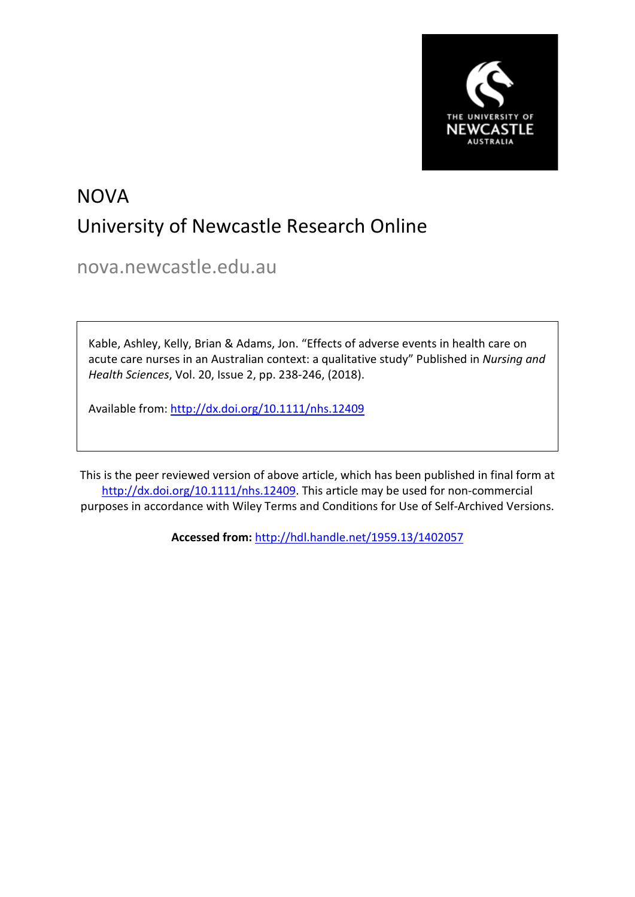

# NOVA University of Newcastle Research Online

nova.newcastle.edu.au

Kable, Ashley, Kelly, Brian & Adams, Jon. "Effects of adverse events in health care on acute care nurses in an Australian context: a qualitative study" Published in *Nursing and Health Sciences*, Vol. 20, Issue 2, pp. 238-246, (2018).

Available from: <http://dx.doi.org/10.1111/nhs.12409>

This is the peer reviewed version of above article, which has been published in final form at [http://dx.doi.org/10.1111/nhs.12409.](http://dx.doi.org/10.1111/nhs.12409) This article may be used for non-commercial purposes in accordance with Wiley Terms and Conditions for Use of Self-Archived Versions.

**Accessed from:** [http://hdl.handle.net/1959.13/1402057](https://nova.newcastle.edu.au/vital/access/manager/Repository?view=null&f0=sm_identifier%3A%22http%3A%2F%2Fhdl.handle.net%2F1959.13%2F1402057%22&sort=null)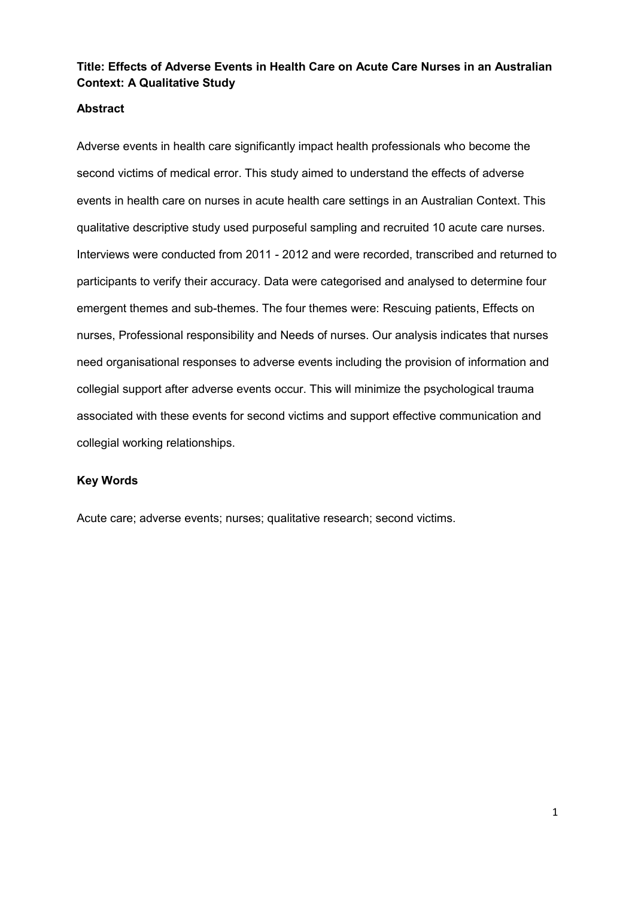## **Title: Effects of Adverse Events in Health Care on Acute Care Nurses in an Australian Context: A Qualitative Study**

## **Abstract**

Adverse events in health care significantly impact health professionals who become the second victims of medical error. This study aimed to understand the effects of adverse events in health care on nurses in acute health care settings in an Australian Context. This qualitative descriptive study used purposeful sampling and recruited 10 acute care nurses. Interviews were conducted from 2011 - 2012 and were recorded, transcribed and returned to participants to verify their accuracy. Data were categorised and analysed to determine four emergent themes and sub-themes. The four themes were: Rescuing patients, Effects on nurses, Professional responsibility and Needs of nurses. Our analysis indicates that nurses need organisational responses to adverse events including the provision of information and collegial support after adverse events occur. This will minimize the psychological trauma associated with these events for second victims and support effective communication and collegial working relationships.

#### **Key Words**

Acute care; adverse events; nurses; qualitative research; second victims.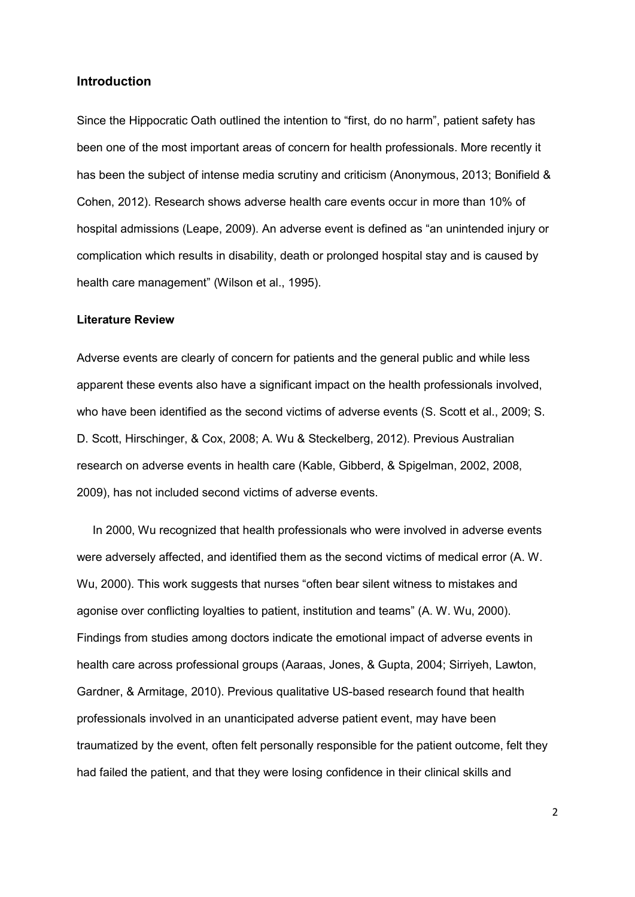### **Introduction**

Since the Hippocratic Oath outlined the intention to "first, do no harm", patient safety has been one of the most important areas of concern for health professionals. More recently it has been the subject of intense media scrutiny and criticism [\(Anonymous, 2013;](#page-23-0) [Bonifield &](#page-23-1)  [Cohen, 2012\)](#page-23-1). Research shows adverse health care events occur in more than 10% of hospital admissions [\(Leape, 2009\)](#page-24-0). An adverse event is defined as "an unintended injury or complication which results in disability, death or prolonged hospital stay and is caused by health care management" [\(Wilson et al., 1995\)](#page-25-0).

#### **Literature Review**

Adverse events are clearly of concern for patients and the general public and while less apparent these events also have a significant impact on the health professionals involved, who have been identified as the second victims of adverse events [\(S. Scott et al., 2009;](#page-25-1) S. [D. Scott, Hirschinger, & Cox, 2008;](#page-25-2) [A. Wu & Steckelberg, 2012\)](#page-25-3). Previous Australian research on adverse events in health care [\(Kable, Gibberd, & Spigelman, 2002,](#page-23-2) [2008,](#page-23-3) [2009\)](#page-24-1), has not included second victims of adverse events.

In 2000, Wu recognized that health professionals who were involved in adverse events were adversely affected, and identified them as the second victims of medical error [\(A. W.](#page-25-4)  [Wu, 2000\)](#page-25-4). This work suggests that nurses "often bear silent witness to mistakes and agonise over conflicting loyalties to patient, institution and teams" [\(A. W. Wu, 2000\)](#page-25-4). Findings from studies among doctors indicate the emotional impact of adverse events in health care across professional groups [\(Aaraas, Jones, & Gupta, 2004;](#page-23-4) [Sirriyeh, Lawton,](#page-25-5)  [Gardner, & Armitage, 2010\)](#page-25-5). Previous qualitative US-based research found that health professionals involved in an unanticipated adverse patient event, may have been traumatized by the event, often felt personally responsible for the patient outcome, felt they had failed the patient, and that they were losing confidence in their clinical skills and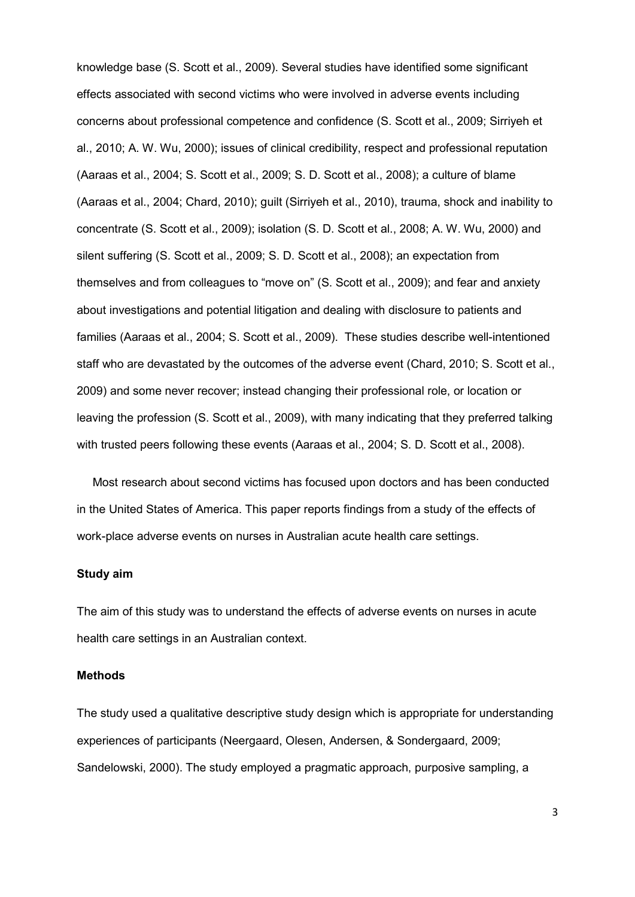knowledge base [\(S. Scott et al., 2009\)](#page-25-1). Several studies have identified some significant effects associated with second victims who were involved in adverse events including concerns about professional competence and confidence [\(S. Scott et al., 2009;](#page-25-1) [Sirriyeh et](#page-25-5)  [al., 2010;](#page-25-5) [A. W. Wu, 2000\)](#page-25-4); issues of clinical credibility, respect and professional reputation [\(Aaraas et al., 2004;](#page-23-4) [S. Scott et al., 2009;](#page-25-1) [S. D. Scott et al., 2008\)](#page-25-2); a culture of blame [\(Aaraas et al., 2004;](#page-23-4) [Chard, 2010\)](#page-23-5); guilt [\(Sirriyeh et al., 2010\)](#page-25-5), trauma, shock and inability to concentrate [\(S. Scott et al., 2009\)](#page-25-1); isolation [\(S. D. Scott et al., 2008;](#page-25-2) [A. W. Wu, 2000\)](#page-25-4) and silent suffering [\(S. Scott et al., 2009;](#page-25-1) [S. D. Scott et al., 2008\)](#page-25-2); an expectation from themselves and from colleagues to "move on" [\(S. Scott et al., 2009\)](#page-25-1); and fear and anxiety about investigations and potential litigation and dealing with disclosure to patients and families [\(Aaraas et al., 2004;](#page-23-4) [S. Scott et al., 2009\)](#page-25-1). These studies describe well-intentioned staff who are devastated by the outcomes of the adverse event [\(Chard, 2010;](#page-23-5) [S. Scott et al.,](#page-25-1)  [2009\)](#page-25-1) and some never recover; instead changing their professional role, or location or leaving the profession [\(S. Scott et al., 2009\)](#page-25-1), with many indicating that they preferred talking with trusted peers following these events [\(Aaraas et al., 2004;](#page-23-4) [S. D. Scott et al., 2008\)](#page-25-2).

Most research about second victims has focused upon doctors and has been conducted in the United States of America. This paper reports findings from a study of the effects of work-place adverse events on nurses in Australian acute health care settings.

#### **Study aim**

The aim of this study was to understand the effects of adverse events on nurses in acute health care settings in an Australian context.

#### **Methods**

The study used a qualitative descriptive study design which is appropriate for understanding experiences of participants [\(Neergaard, Olesen, Andersen, & Sondergaard, 2009;](#page-24-2) [Sandelowski, 2000\)](#page-24-3). The study employed a pragmatic approach, purposive sampling, a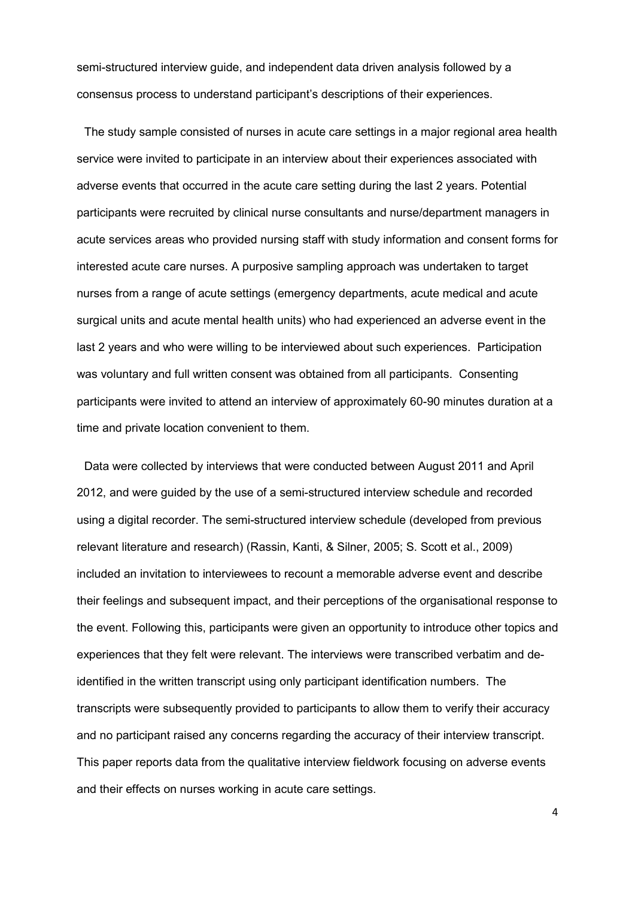semi-structured interview guide, and independent data driven analysis followed by a consensus process to understand participant's descriptions of their experiences.

The study sample consisted of nurses in acute care settings in a major regional area health service were invited to participate in an interview about their experiences associated with adverse events that occurred in the acute care setting during the last 2 years. Potential participants were recruited by clinical nurse consultants and nurse/department managers in acute services areas who provided nursing staff with study information and consent forms for interested acute care nurses. A purposive sampling approach was undertaken to target nurses from a range of acute settings (emergency departments, acute medical and acute surgical units and acute mental health units) who had experienced an adverse event in the last 2 years and who were willing to be interviewed about such experiences. Participation was voluntary and full written consent was obtained from all participants. Consenting participants were invited to attend an interview of approximately 60-90 minutes duration at a time and private location convenient to them.

Data were collected by interviews that were conducted between August 2011 and April 2012, and were guided by the use of a semi-structured interview schedule and recorded using a digital recorder. The semi-structured interview schedule (developed from previous relevant literature and research) [\(Rassin, Kanti, & Silner, 2005;](#page-24-4) [S. Scott et al., 2009\)](#page-25-1) included an invitation to interviewees to recount a memorable adverse event and describe their feelings and subsequent impact, and their perceptions of the organisational response to the event. Following this, participants were given an opportunity to introduce other topics and experiences that they felt were relevant. The interviews were transcribed verbatim and deidentified in the written transcript using only participant identification numbers. The transcripts were subsequently provided to participants to allow them to verify their accuracy and no participant raised any concerns regarding the accuracy of their interview transcript. This paper reports data from the qualitative interview fieldwork focusing on adverse events and their effects on nurses working in acute care settings.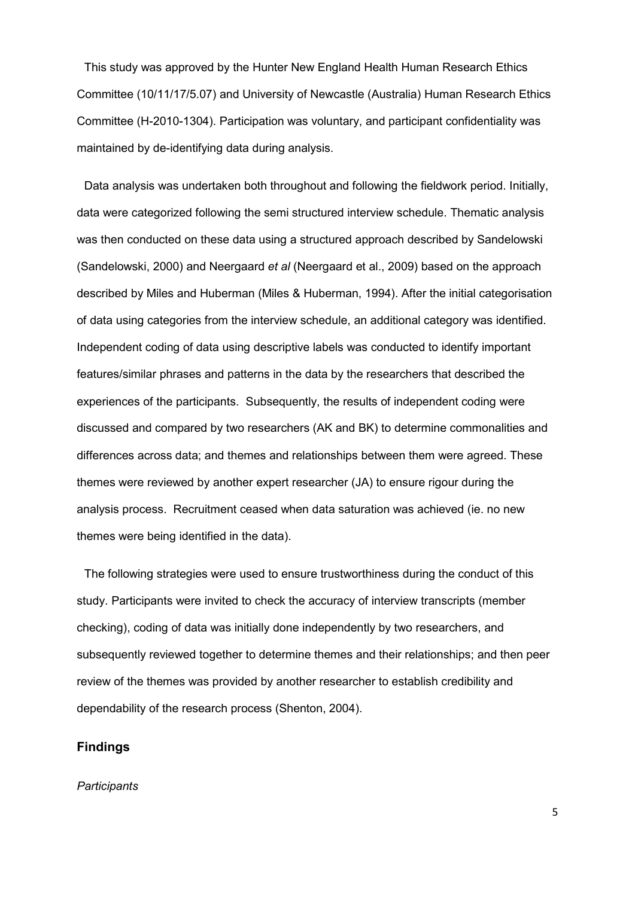This study was approved by the Hunter New England Health Human Research Ethics Committee (10/11/17/5.07) and University of Newcastle (Australia) Human Research Ethics Committee (H-2010-1304). Participation was voluntary, and participant confidentiality was maintained by de-identifying data during analysis.

Data analysis was undertaken both throughout and following the fieldwork period. Initially, data were categorized following the semi structured interview schedule. Thematic analysis was then conducted on these data using a structured approach described by Sandelowski [\(Sandelowski, 2000\)](#page-24-3) and Neergaard *et al* [\(Neergaard et al., 2009\)](#page-24-2) based on the approach described by Miles and Huberman [\(Miles & Huberman, 1994\)](#page-24-5). After the initial categorisation of data using categories from the interview schedule, an additional category was identified. Independent coding of data using descriptive labels was conducted to identify important features/similar phrases and patterns in the data by the researchers that described the experiences of the participants. Subsequently, the results of independent coding were discussed and compared by two researchers (AK and BK) to determine commonalities and differences across data; and themes and relationships between them were agreed. These themes were reviewed by another expert researcher (JA) to ensure rigour during the analysis process. Recruitment ceased when data saturation was achieved (ie. no new themes were being identified in the data).

The following strategies were used to ensure trustworthiness during the conduct of this study. Participants were invited to check the accuracy of interview transcripts (member checking), coding of data was initially done independently by two researchers, and subsequently reviewed together to determine themes and their relationships; and then peer review of the themes was provided by another researcher to establish credibility and dependability of the research process [\(Shenton, 2004\)](#page-25-6).

## **Findings**

#### *Participants*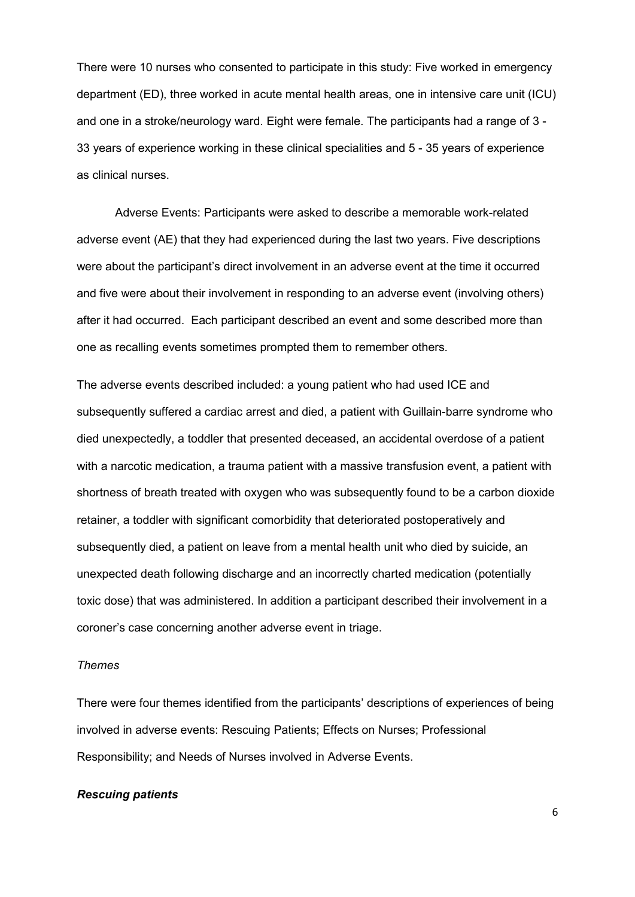There were 10 nurses who consented to participate in this study: Five worked in emergency department (ED), three worked in acute mental health areas, one in intensive care unit (ICU) and one in a stroke/neurology ward. Eight were female. The participants had a range of 3 - 33 years of experience working in these clinical specialities and 5 - 35 years of experience as clinical nurses.

Adverse Events: Participants were asked to describe a memorable work-related adverse event (AE) that they had experienced during the last two years. Five descriptions were about the participant's direct involvement in an adverse event at the time it occurred and five were about their involvement in responding to an adverse event (involving others) after it had occurred. Each participant described an event and some described more than one as recalling events sometimes prompted them to remember others.

The adverse events described included: a young patient who had used ICE and subsequently suffered a cardiac arrest and died, a patient with Guillain-barre syndrome who died unexpectedly, a toddler that presented deceased, an accidental overdose of a patient with a narcotic medication, a trauma patient with a massive transfusion event, a patient with shortness of breath treated with oxygen who was subsequently found to be a carbon dioxide retainer, a toddler with significant comorbidity that deteriorated postoperatively and subsequently died, a patient on leave from a mental health unit who died by suicide, an unexpected death following discharge and an incorrectly charted medication (potentially toxic dose) that was administered. In addition a participant described their involvement in a coroner's case concerning another adverse event in triage.

#### *Themes*

There were four themes identified from the participants' descriptions of experiences of being involved in adverse events: Rescuing Patients; Effects on Nurses; Professional Responsibility; and Needs of Nurses involved in Adverse Events.

#### *Rescuing patients*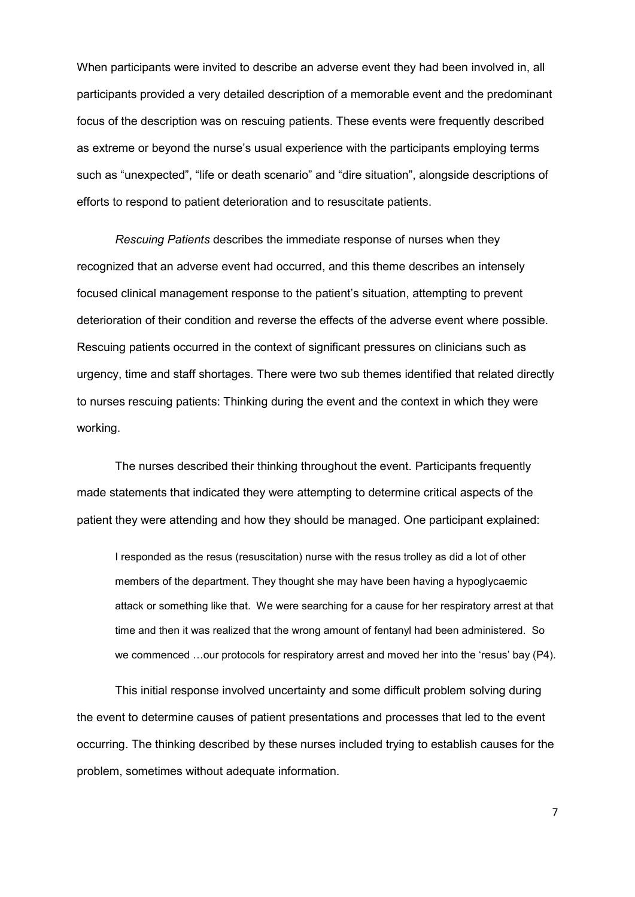When participants were invited to describe an adverse event they had been involved in, all participants provided a very detailed description of a memorable event and the predominant focus of the description was on rescuing patients. These events were frequently described as extreme or beyond the nurse's usual experience with the participants employing terms such as "unexpected", "life or death scenario" and "dire situation", alongside descriptions of efforts to respond to patient deterioration and to resuscitate patients.

*Rescuing Patients* describes the immediate response of nurses when they recognized that an adverse event had occurred, and this theme describes an intensely focused clinical management response to the patient's situation, attempting to prevent deterioration of their condition and reverse the effects of the adverse event where possible. Rescuing patients occurred in the context of significant pressures on clinicians such as urgency, time and staff shortages. There were two sub themes identified that related directly to nurses rescuing patients: Thinking during the event and the context in which they were working.

The nurses described their thinking throughout the event. Participants frequently made statements that indicated they were attempting to determine critical aspects of the patient they were attending and how they should be managed. One participant explained:

I responded as the resus (resuscitation) nurse with the resus trolley as did a lot of other members of the department. They thought she may have been having a hypoglycaemic attack or something like that. We were searching for a cause for her respiratory arrest at that time and then it was realized that the wrong amount of fentanyl had been administered. So we commenced …our protocols for respiratory arrest and moved her into the 'resus' bay (P4).

This initial response involved uncertainty and some difficult problem solving during the event to determine causes of patient presentations and processes that led to the event occurring. The thinking described by these nurses included trying to establish causes for the problem, sometimes without adequate information.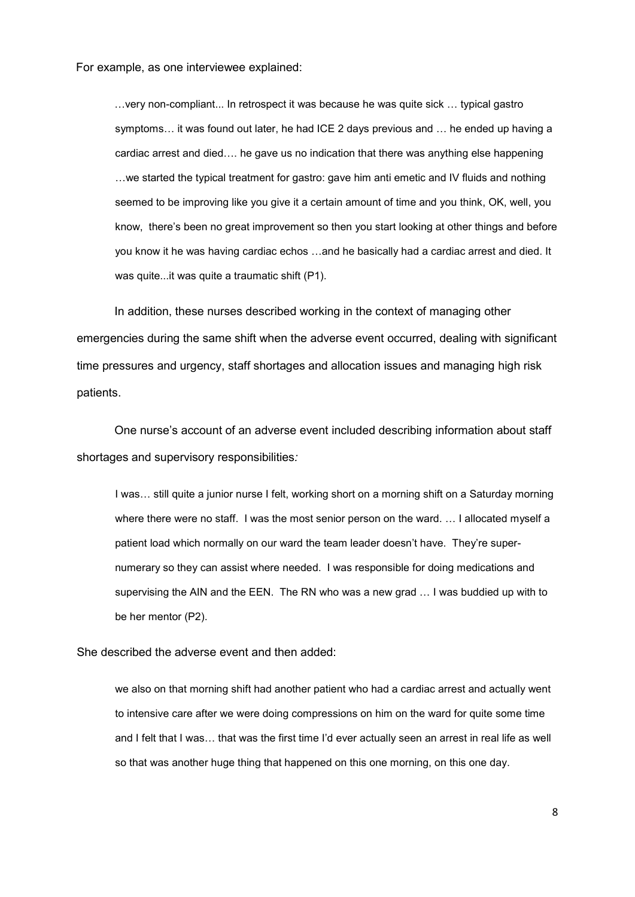For example, as one interviewee explained:

…very non-compliant... In retrospect it was because he was quite sick … typical gastro symptoms… it was found out later, he had ICE 2 days previous and … he ended up having a cardiac arrest and died…. he gave us no indication that there was anything else happening …we started the typical treatment for gastro: gave him anti emetic and IV fluids and nothing seemed to be improving like you give it a certain amount of time and you think, OK, well, you know, there's been no great improvement so then you start looking at other things and before you know it he was having cardiac echos …and he basically had a cardiac arrest and died. It was quite...it was quite a traumatic shift (P1).

In addition, these nurses described working in the context of managing other emergencies during the same shift when the adverse event occurred, dealing with significant time pressures and urgency, staff shortages and allocation issues and managing high risk patients.

One nurse's account of an adverse event included describing information about staff shortages and supervisory responsibilities*:* 

I was… still quite a junior nurse I felt, working short on a morning shift on a Saturday morning where there were no staff. I was the most senior person on the ward. … I allocated myself a patient load which normally on our ward the team leader doesn't have. They're supernumerary so they can assist where needed. I was responsible for doing medications and supervising the AIN and the EEN. The RN who was a new grad … I was buddied up with to be her mentor (P2).

She described the adverse event and then added:

we also on that morning shift had another patient who had a cardiac arrest and actually went to intensive care after we were doing compressions on him on the ward for quite some time and I felt that I was… that was the first time I'd ever actually seen an arrest in real life as well so that was another huge thing that happened on this one morning, on this one day.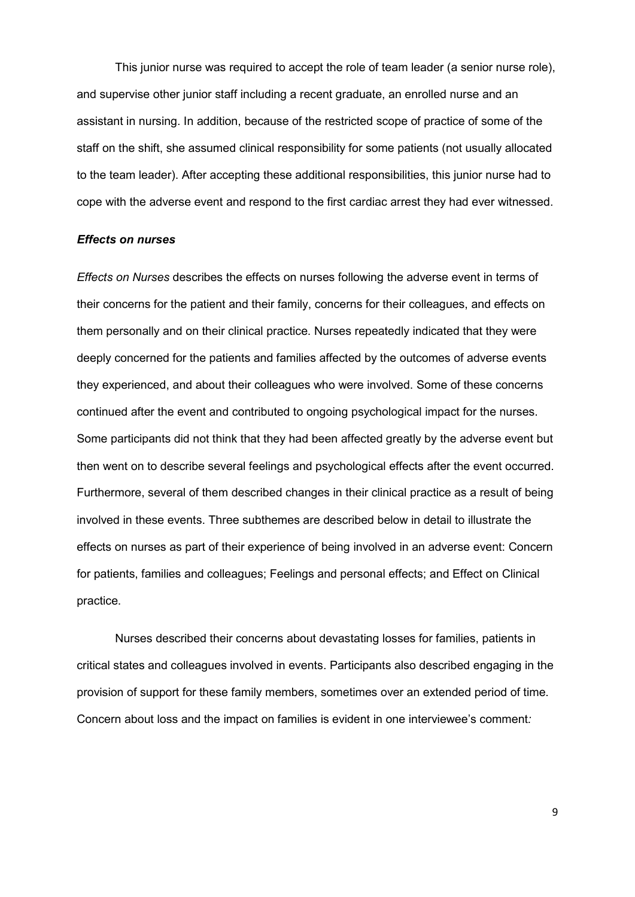This junior nurse was required to accept the role of team leader (a senior nurse role), and supervise other junior staff including a recent graduate, an enrolled nurse and an assistant in nursing. In addition, because of the restricted scope of practice of some of the staff on the shift, she assumed clinical responsibility for some patients (not usually allocated to the team leader). After accepting these additional responsibilities, this junior nurse had to cope with the adverse event and respond to the first cardiac arrest they had ever witnessed.

#### *Effects on nurses*

*Effects on Nurses* describes the effects on nurses following the adverse event in terms of their concerns for the patient and their family, concerns for their colleagues, and effects on them personally and on their clinical practice. Nurses repeatedly indicated that they were deeply concerned for the patients and families affected by the outcomes of adverse events they experienced, and about their colleagues who were involved. Some of these concerns continued after the event and contributed to ongoing psychological impact for the nurses. Some participants did not think that they had been affected greatly by the adverse event but then went on to describe several feelings and psychological effects after the event occurred. Furthermore, several of them described changes in their clinical practice as a result of being involved in these events. Three subthemes are described below in detail to illustrate the effects on nurses as part of their experience of being involved in an adverse event: Concern for patients, families and colleagues; Feelings and personal effects; and Effect on Clinical practice.

Nurses described their concerns about devastating losses for families, patients in critical states and colleagues involved in events. Participants also described engaging in the provision of support for these family members, sometimes over an extended period of time. Concern about loss and the impact on families is evident in one interviewee's comment*:*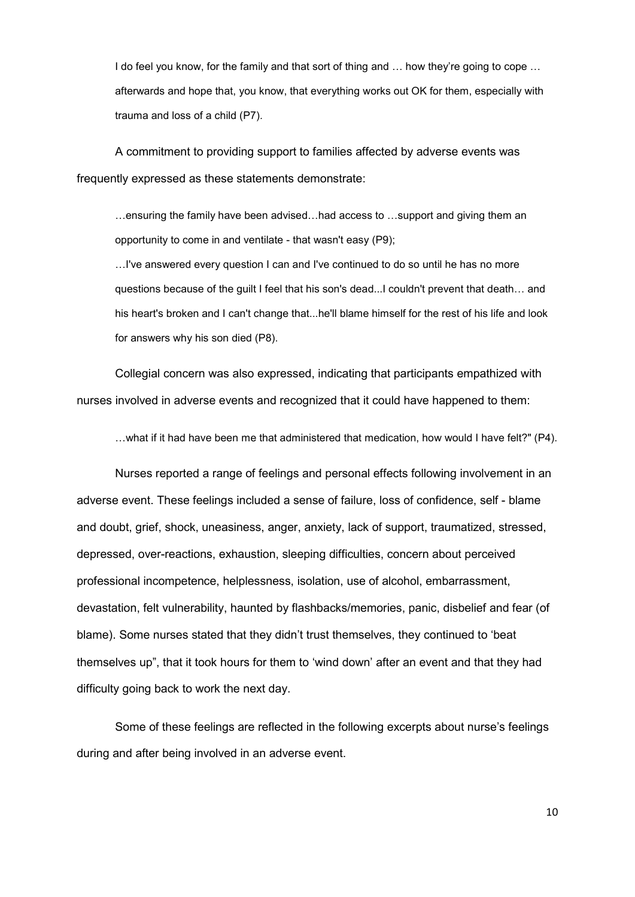I do feel you know, for the family and that sort of thing and ... how they're going to cope ... afterwards and hope that, you know, that everything works out OK for them, especially with trauma and loss of a child (P7).

A commitment to providing support to families affected by adverse events was frequently expressed as these statements demonstrate:

…ensuring the family have been advised…had access to …support and giving them an opportunity to come in and ventilate - that wasn't easy (P9);

…I've answered every question I can and I've continued to do so until he has no more questions because of the guilt I feel that his son's dead...I couldn't prevent that death… and his heart's broken and I can't change that...he'll blame himself for the rest of his life and look for answers why his son died (P8).

Collegial concern was also expressed, indicating that participants empathized with nurses involved in adverse events and recognized that it could have happened to them:

…what if it had have been me that administered that medication, how would I have felt?" (P4).

Nurses reported a range of feelings and personal effects following involvement in an adverse event. These feelings included a sense of failure, loss of confidence, self - blame and doubt, grief, shock, uneasiness, anger, anxiety, lack of support, traumatized, stressed, depressed, over-reactions, exhaustion, sleeping difficulties, concern about perceived professional incompetence, helplessness, isolation, use of alcohol, embarrassment, devastation, felt vulnerability, haunted by flashbacks/memories, panic, disbelief and fear (of blame). Some nurses stated that they didn't trust themselves, they continued to 'beat themselves up", that it took hours for them to 'wind down' after an event and that they had difficulty going back to work the next day.

Some of these feelings are reflected in the following excerpts about nurse's feelings during and after being involved in an adverse event.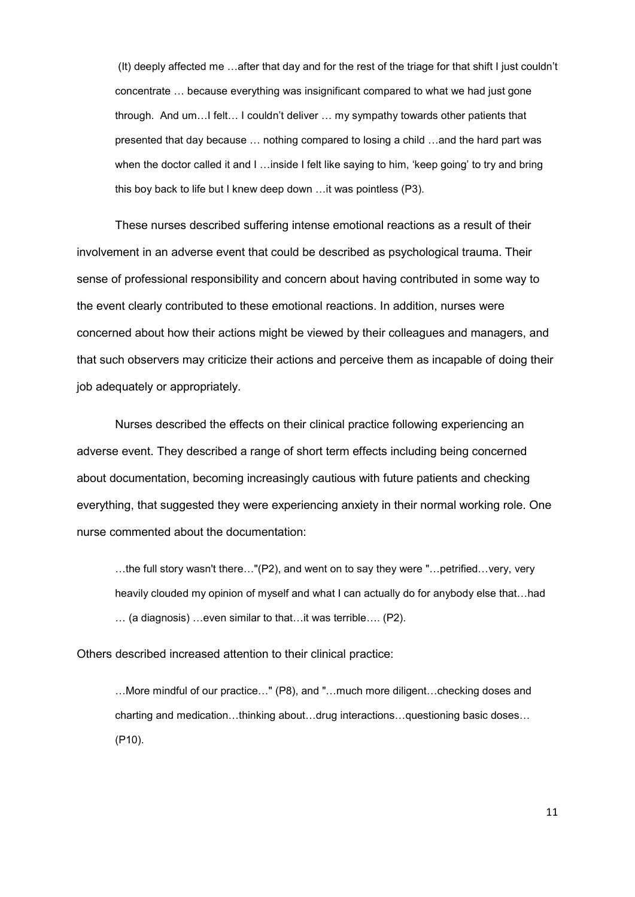(It) deeply affected me …after that day and for the rest of the triage for that shift I just couldn't concentrate … because everything was insignificant compared to what we had just gone through. And um…I felt… I couldn't deliver … my sympathy towards other patients that presented that day because … nothing compared to losing a child …and the hard part was when the doctor called it and I …inside I felt like saying to him, 'keep going' to try and bring this boy back to life but I knew deep down …it was pointless (P3).

These nurses described suffering intense emotional reactions as a result of their involvement in an adverse event that could be described as psychological trauma. Their sense of professional responsibility and concern about having contributed in some way to the event clearly contributed to these emotional reactions. In addition, nurses were concerned about how their actions might be viewed by their colleagues and managers, and that such observers may criticize their actions and perceive them as incapable of doing their job adequately or appropriately.

Nurses described the effects on their clinical practice following experiencing an adverse event. They described a range of short term effects including being concerned about documentation, becoming increasingly cautious with future patients and checking everything, that suggested they were experiencing anxiety in their normal working role. One nurse commented about the documentation:

…the full story wasn't there…"(P2), and went on to say they were "…petrified…very, very heavily clouded my opinion of myself and what I can actually do for anybody else that…had … (a diagnosis) …even similar to that…it was terrible…. (P2).

Others described increased attention to their clinical practice:

…More mindful of our practice…" (P8), and "…much more diligent…checking doses and charting and medication…thinking about…drug interactions…questioning basic doses… (P10).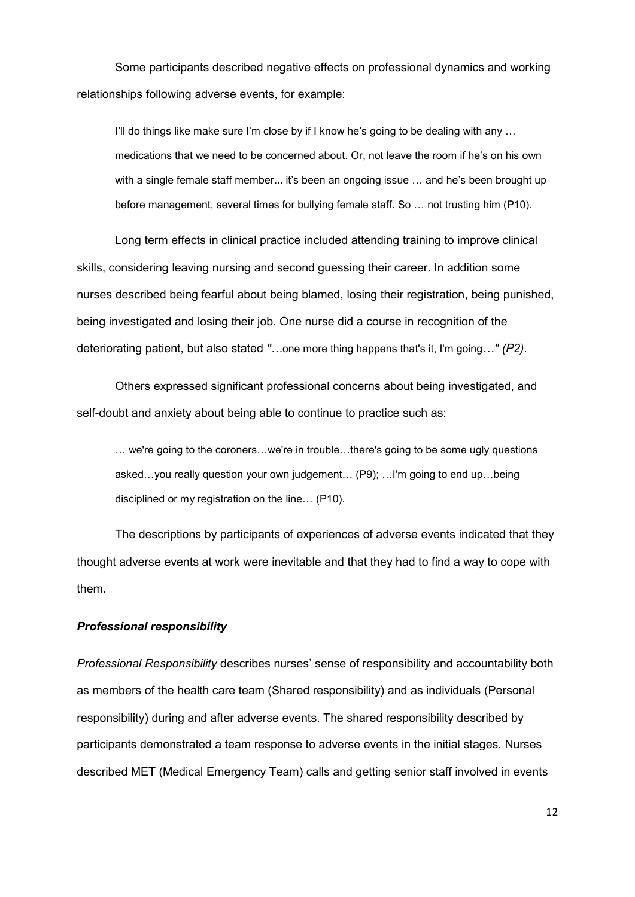Some participants described negative effects on professional dynamics and working relationships following adverse events, for example:

I'll do things like make sure I'm close by if I know he's going to be dealing with any … medications that we need to be concerned about. Or, not leave the room if he's on his own with a single female staff member**...** it's been an ongoing issue … and he's been brought up before management, several times for bullying female staff. So … not trusting him (P10).

Long term effects in clinical practice included attending training to improve clinical skills, considering leaving nursing and second guessing their career. In addition some nurses described being fearful about being blamed, losing their registration, being punished, being investigated and losing their job. One nurse did a course in recognition of the deteriorating patient, but also stated *"…*one more thing happens that's it, I'm going*…" (P2).*

Others expressed significant professional concerns about being investigated, and self-doubt and anxiety about being able to continue to practice such as:

… we're going to the coroners…we're in trouble…there's going to be some ugly questions asked…you really question your own judgement… (P9); …I'm going to end up…being disciplined or my registration on the line… (P10).

The descriptions by participants of experiences of adverse events indicated that they thought adverse events at work were inevitable and that they had to find a way to cope with them.

#### *Professional responsibility*

*Professional Responsibility* describes nurses' sense of responsibility and accountability both as members of the health care team (Shared responsibility) and as individuals (Personal responsibility) during and after adverse events. The shared responsibility described by participants demonstrated a team response to adverse events in the initial stages. Nurses described MET (Medical Emergency Team) calls and getting senior staff involved in events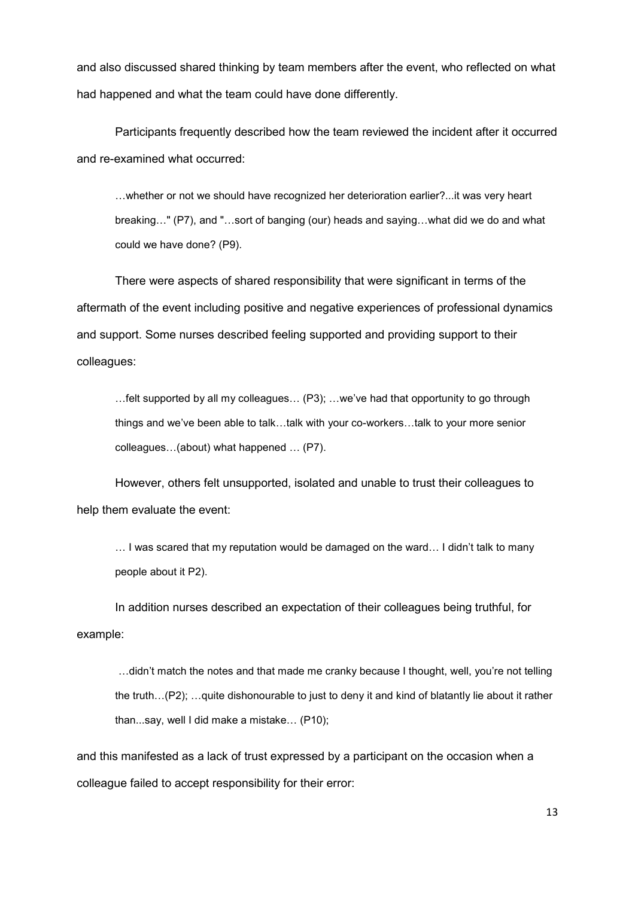and also discussed shared thinking by team members after the event, who reflected on what had happened and what the team could have done differently.

Participants frequently described how the team reviewed the incident after it occurred and re-examined what occurred:

…whether or not we should have recognized her deterioration earlier?...it was very heart breaking…" (P7), and "…sort of banging (our) heads and saying…what did we do and what could we have done? (P9).

There were aspects of shared responsibility that were significant in terms of the aftermath of the event including positive and negative experiences of professional dynamics and support. Some nurses described feeling supported and providing support to their colleagues:

…felt supported by all my colleagues… (P3); …we've had that opportunity to go through things and we've been able to talk…talk with your co-workers…talk to your more senior colleagues…(about) what happened … (P7).

However, others felt unsupported, isolated and unable to trust their colleagues to help them evaluate the event:

… I was scared that my reputation would be damaged on the ward… I didn't talk to many people about it P2).

In addition nurses described an expectation of their colleagues being truthful, for example:

…didn't match the notes and that made me cranky because I thought, well, you're not telling the truth…(P2); …quite dishonourable to just to deny it and kind of blatantly lie about it rather than...say, well I did make a mistake… (P10);

and this manifested as a lack of trust expressed by a participant on the occasion when a colleague failed to accept responsibility for their error: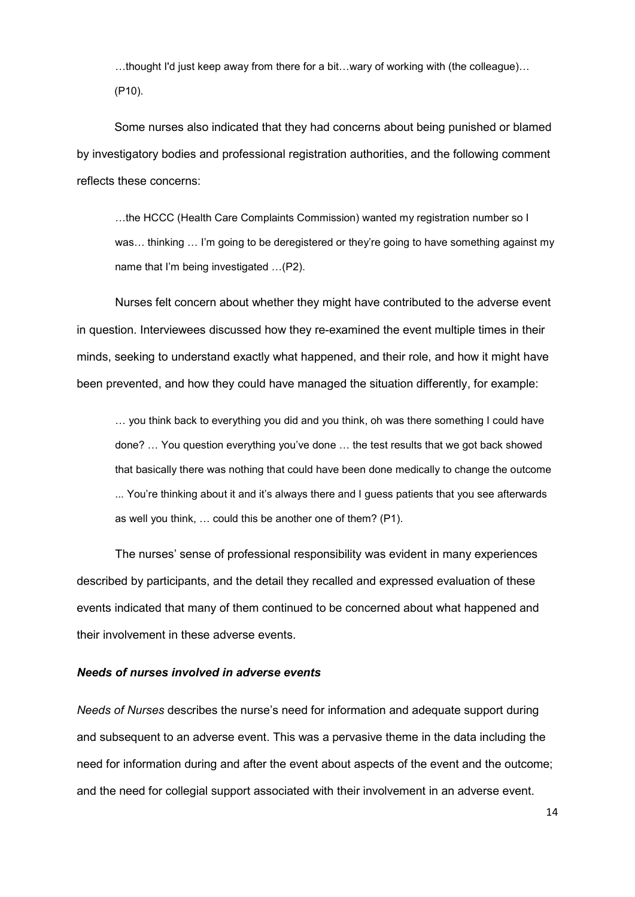…thought I'd just keep away from there for a bit…wary of working with (the colleague)… (P10).

Some nurses also indicated that they had concerns about being punished or blamed by investigatory bodies and professional registration authorities, and the following comment reflects these concerns:

…the HCCC (Health Care Complaints Commission) wanted my registration number so I was… thinking … I'm going to be deregistered or they're going to have something against my name that I'm being investigated …(P2).

Nurses felt concern about whether they might have contributed to the adverse event in question. Interviewees discussed how they re-examined the event multiple times in their minds, seeking to understand exactly what happened, and their role, and how it might have been prevented, and how they could have managed the situation differently, for example:

… you think back to everything you did and you think, oh was there something I could have done? … You question everything you've done … the test results that we got back showed that basically there was nothing that could have been done medically to change the outcome ... You're thinking about it and it's always there and I guess patients that you see afterwards as well you think, … could this be another one of them? (P1).

The nurses' sense of professional responsibility was evident in many experiences described by participants, and the detail they recalled and expressed evaluation of these events indicated that many of them continued to be concerned about what happened and their involvement in these adverse events.

#### *Needs of nurses involved in adverse events*

*Needs of Nurses* describes the nurse's need for information and adequate support during and subsequent to an adverse event. This was a pervasive theme in the data including the need for information during and after the event about aspects of the event and the outcome; and the need for collegial support associated with their involvement in an adverse event.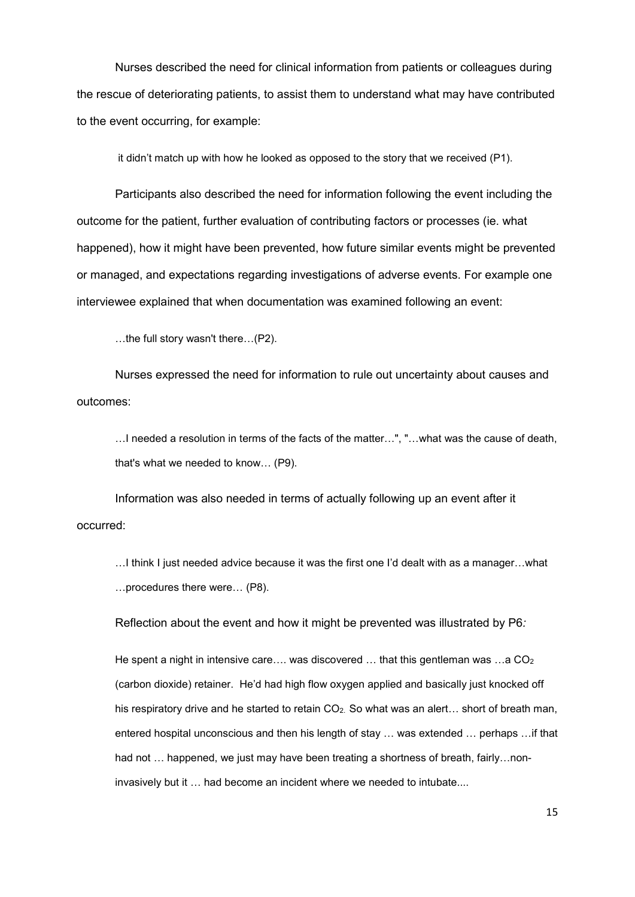Nurses described the need for clinical information from patients or colleagues during the rescue of deteriorating patients, to assist them to understand what may have contributed to the event occurring, for example:

it didn't match up with how he looked as opposed to the story that we received (P1).

Participants also described the need for information following the event including the outcome for the patient, further evaluation of contributing factors or processes (ie. what happened), how it might have been prevented, how future similar events might be prevented or managed, and expectations regarding investigations of adverse events. For example one interviewee explained that when documentation was examined following an event:

…the full story wasn't there…(P2).

Nurses expressed the need for information to rule out uncertainty about causes and outcomes:

…I needed a resolution in terms of the facts of the matter…", "…what was the cause of death, that's what we needed to know… (P9).

Information was also needed in terms of actually following up an event after it occurred:

…I think I just needed advice because it was the first one I'd dealt with as a manager…what …procedures there were… (P8).

Reflection about the event and how it might be prevented was illustrated by P6*:* 

He spent a night in intensive care…. was discovered  $\ldots$  that this gentleman was  $\ldots$  a CO<sub>2</sub> (carbon dioxide) retainer. He'd had high flow oxygen applied and basically just knocked off his respiratory drive and he started to retain  $CO<sub>2</sub>$ . So what was an alert... short of breath man, entered hospital unconscious and then his length of stay … was extended … perhaps …if that had not ... happened, we just may have been treating a shortness of breath, fairly...noninvasively but it … had become an incident where we needed to intubate....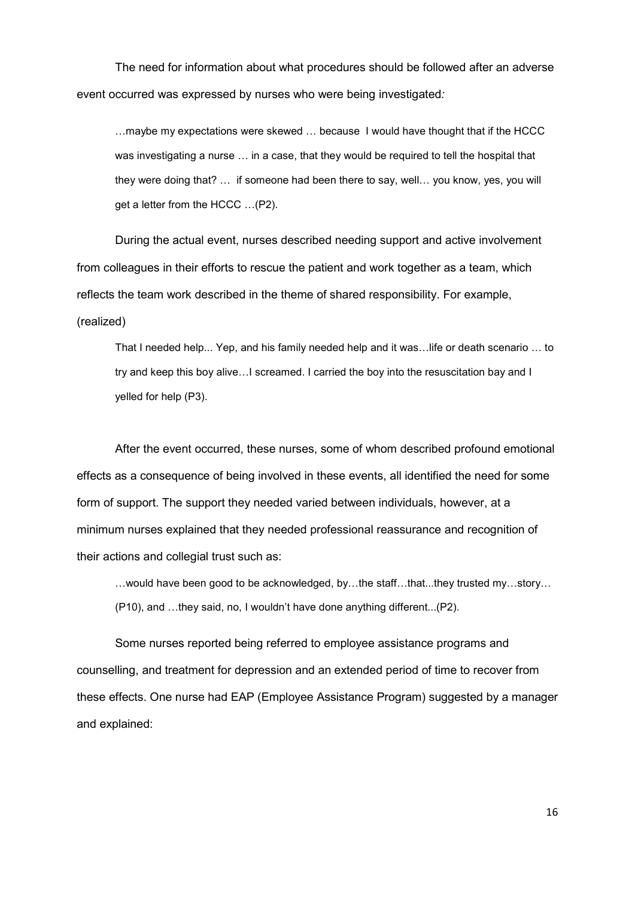The need for information about what procedures should be followed after an adverse event occurred was expressed by nurses who were being investigated*:* 

…maybe my expectations were skewed … because I would have thought that if the HCCC was investigating a nurse … in a case, that they would be required to tell the hospital that they were doing that? … if someone had been there to say, well… you know, yes, you will get a letter from the HCCC …(P2).

During the actual event, nurses described needing support and active involvement from colleagues in their efforts to rescue the patient and work together as a team, which reflects the team work described in the theme of shared responsibility. For example, (realized)

That I needed help... Yep, and his family needed help and it was…life or death scenario … to try and keep this boy alive…I screamed. I carried the boy into the resuscitation bay and I yelled for help (P3).

After the event occurred, these nurses, some of whom described profound emotional effects as a consequence of being involved in these events, all identified the need for some form of support. The support they needed varied between individuals, however, at a minimum nurses explained that they needed professional reassurance and recognition of their actions and collegial trust such as:

…would have been good to be acknowledged, by…the staff…that...they trusted my…story… (P10), and …they said, no, I wouldn't have done anything different...(P2).

Some nurses reported being referred to employee assistance programs and counselling, and treatment for depression and an extended period of time to recover from these effects. One nurse had EAP (Employee Assistance Program) suggested by a manager and explained: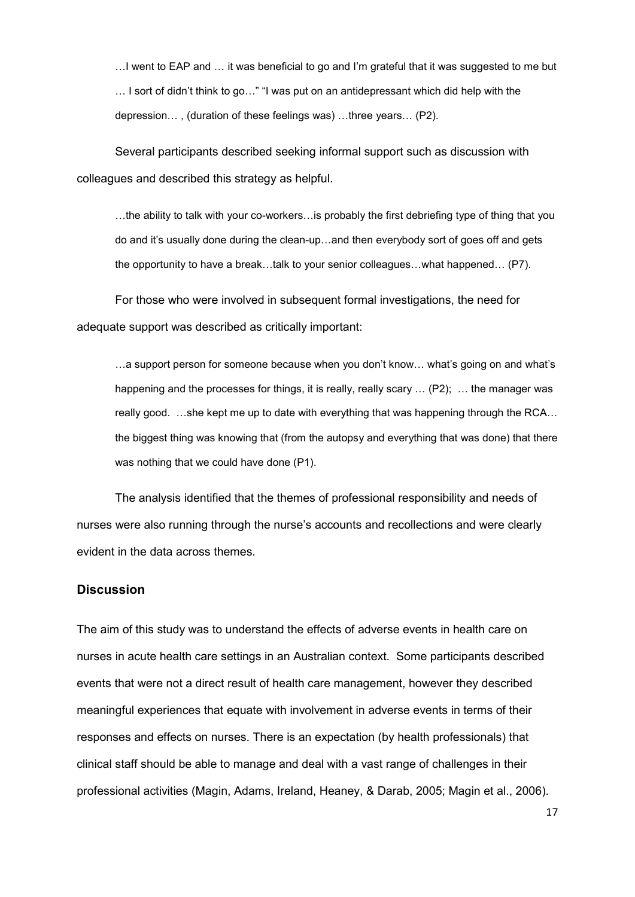…I went to EAP and … it was beneficial to go and I'm grateful that it was suggested to me but … I sort of didn't think to go…" "I was put on an antidepressant which did help with the depression… , (duration of these feelings was) …three years… (P2).

Several participants described seeking informal support such as discussion with colleagues and described this strategy as helpful.

…the ability to talk with your co-workers…is probably the first debriefing type of thing that you do and it's usually done during the clean-up…and then everybody sort of goes off and gets the opportunity to have a break…talk to your senior colleagues…what happened… (P7).

For those who were involved in subsequent formal investigations, the need for adequate support was described as critically important:

…a support person for someone because when you don't know… what's going on and what's happening and the processes for things, it is really, really scary ... (P2); ... the manager was really good. …she kept me up to date with everything that was happening through the RCA… the biggest thing was knowing that (from the autopsy and everything that was done) that there was nothing that we could have done (P1).

The analysis identified that the themes of professional responsibility and needs of nurses were also running through the nurse's accounts and recollections and were clearly evident in the data across themes.

## **Discussion**

The aim of this study was to understand the effects of adverse events in health care on nurses in acute health care settings in an Australian context. Some participants described events that were not a direct result of health care management, however they described meaningful experiences that equate with involvement in adverse events in terms of their responses and effects on nurses. There is an expectation (by health professionals) that clinical staff should be able to manage and deal with a vast range of challenges in their professional activities [\(Magin, Adams, Ireland, Heaney, & Darab, 2005;](#page-24-6) [Magin et al., 2006\)](#page-24-7).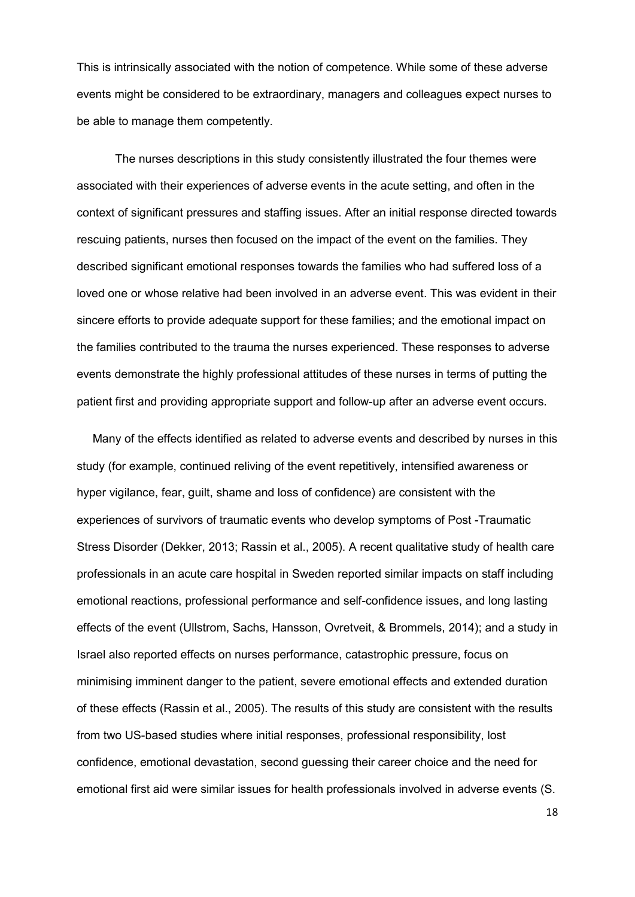This is intrinsically associated with the notion of competence. While some of these adverse events might be considered to be extraordinary, managers and colleagues expect nurses to be able to manage them competently.

The nurses descriptions in this study consistently illustrated the four themes were associated with their experiences of adverse events in the acute setting, and often in the context of significant pressures and staffing issues. After an initial response directed towards rescuing patients, nurses then focused on the impact of the event on the families. They described significant emotional responses towards the families who had suffered loss of a loved one or whose relative had been involved in an adverse event. This was evident in their sincere efforts to provide adequate support for these families; and the emotional impact on the families contributed to the trauma the nurses experienced. These responses to adverse events demonstrate the highly professional attitudes of these nurses in terms of putting the patient first and providing appropriate support and follow-up after an adverse event occurs.

Many of the effects identified as related to adverse events and described by nurses in this study (for example, continued reliving of the event repetitively, intensified awareness or hyper vigilance, fear, guilt, shame and loss of confidence) are consistent with the experiences of survivors of traumatic events who develop symptoms of Post -Traumatic Stress Disorder [\(Dekker, 2013;](#page-23-6) [Rassin et al., 2005\)](#page-24-4). A recent qualitative study of health care professionals in an acute care hospital in Sweden reported similar impacts on staff including emotional reactions, professional performance and self-confidence issues, and long lasting effects of the event [\(Ullstrom, Sachs, Hansson, Ovretveit, & Brommels, 2014\)](#page-25-7); and a study in Israel also reported effects on nurses performance, catastrophic pressure, focus on minimising imminent danger to the patient, severe emotional effects and extended duration of these effects [\(Rassin et al., 2005\)](#page-24-4). The results of this study are consistent with the results from two US-based studies where initial responses, professional responsibility, lost confidence, emotional devastation, second guessing their career choice and the need for emotional first aid were similar issues for health professionals involved in adverse events [\(S.](#page-25-1)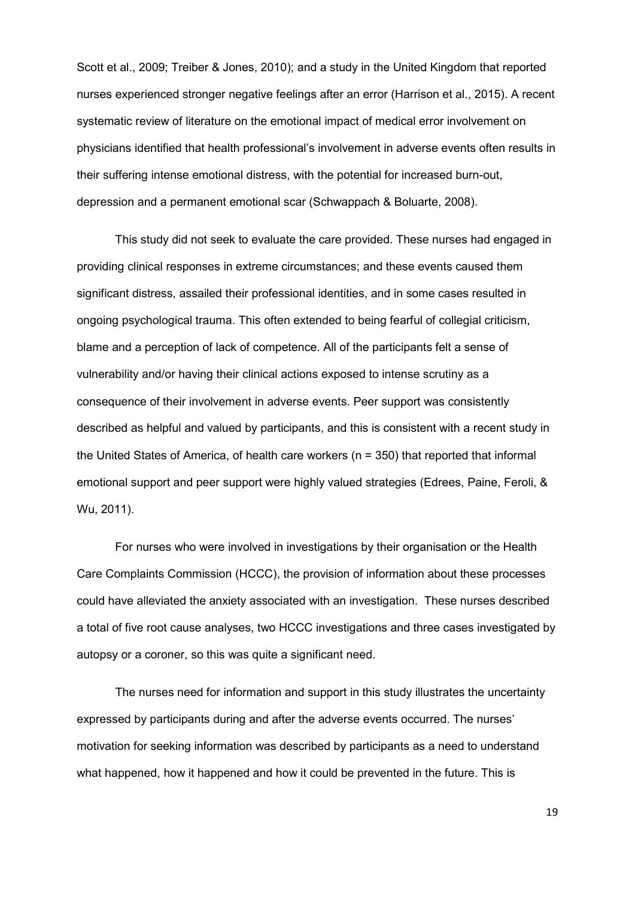[Scott et al., 2009;](#page-25-1) [Treiber & Jones, 2010\)](#page-25-8); and a study in the United Kingdom that reported nurses experienced stronger negative feelings after an error [\(Harrison et al., 2015\)](#page-23-7). A recent systematic review of literature on the emotional impact of medical error involvement on physicians identified that health professional's involvement in adverse events often results in their suffering intense emotional distress, with the potential for increased burn-out, depression and a permanent emotional scar [\(Schwappach & Boluarte, 2008\)](#page-24-8).

This study did not seek to evaluate the care provided. These nurses had engaged in providing clinical responses in extreme circumstances; and these events caused them significant distress, assailed their professional identities, and in some cases resulted in ongoing psychological trauma. This often extended to being fearful of collegial criticism, blame and a perception of lack of competence. All of the participants felt a sense of vulnerability and/or having their clinical actions exposed to intense scrutiny as a consequence of their involvement in adverse events. Peer support was consistently described as helpful and valued by participants, and this is consistent with a recent study in the United States of America, of health care workers (n = 350) that reported that informal emotional support and peer support were highly valued strategies [\(Edrees, Paine, Feroli, &](#page-23-8)  [Wu, 2011\)](#page-23-8).

For nurses who were involved in investigations by their organisation or the Health Care Complaints Commission (HCCC), the provision of information about these processes could have alleviated the anxiety associated with an investigation. These nurses described a total of five root cause analyses, two HCCC investigations and three cases investigated by autopsy or a coroner, so this was quite a significant need.

The nurses need for information and support in this study illustrates the uncertainty expressed by participants during and after the adverse events occurred. The nurses' motivation for seeking information was described by participants as a need to understand what happened, how it happened and how it could be prevented in the future. This is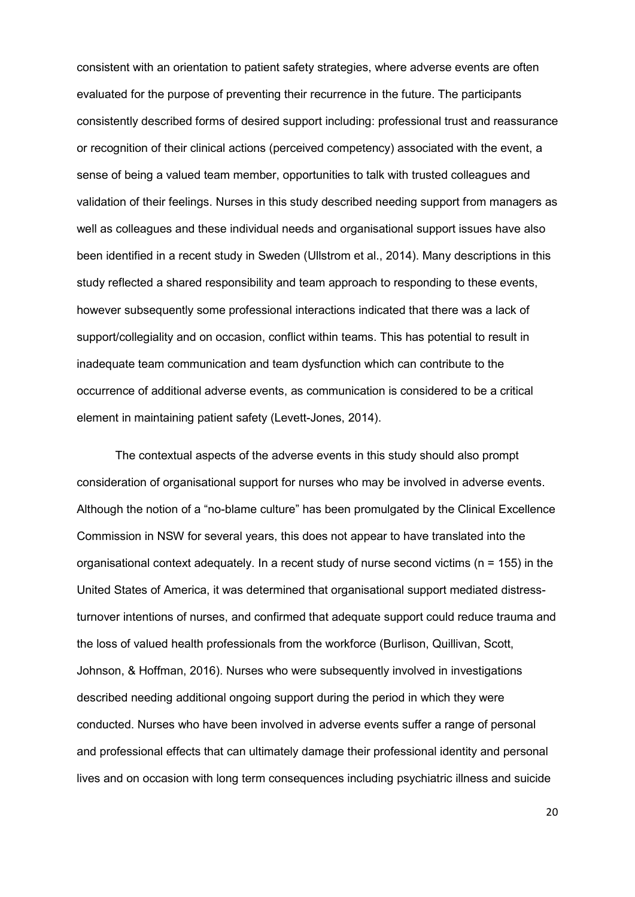consistent with an orientation to patient safety strategies, where adverse events are often evaluated for the purpose of preventing their recurrence in the future. The participants consistently described forms of desired support including: professional trust and reassurance or recognition of their clinical actions (perceived competency) associated with the event, a sense of being a valued team member, opportunities to talk with trusted colleagues and validation of their feelings. Nurses in this study described needing support from managers as well as colleagues and these individual needs and organisational support issues have also been identified in a recent study in Sweden [\(Ullstrom et al., 2014\)](#page-25-7). Many descriptions in this study reflected a shared responsibility and team approach to responding to these events, however subsequently some professional interactions indicated that there was a lack of support/collegiality and on occasion, conflict within teams. This has potential to result in inadequate team communication and team dysfunction which can contribute to the occurrence of additional adverse events, as communication is considered to be a critical element in maintaining patient safety [\(Levett-Jones, 2014\)](#page-24-9).

The contextual aspects of the adverse events in this study should also prompt consideration of organisational support for nurses who may be involved in adverse events. Although the notion of a "no-blame culture" has been promulgated by the Clinical Excellence Commission in NSW for several years, this does not appear to have translated into the organisational context adequately. In a recent study of nurse second victims (n = 155) in the United States of America, it was determined that organisational support mediated distressturnover intentions of nurses, and confirmed that adequate support could reduce trauma and the loss of valued health professionals from the workforce [\(Burlison, Quillivan, Scott,](#page-23-9)  [Johnson, & Hoffman, 2016\)](#page-23-9). Nurses who were subsequently involved in investigations described needing additional ongoing support during the period in which they were conducted. Nurses who have been involved in adverse events suffer a range of personal and professional effects that can ultimately damage their professional identity and personal lives and on occasion with long term consequences including psychiatric illness and suicide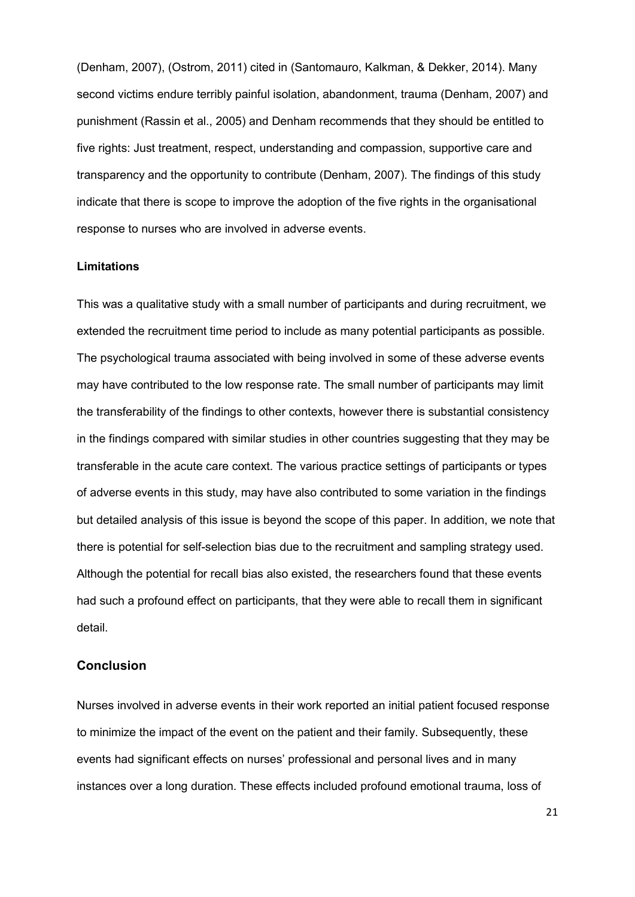[\(Denham, 2007\)](#page-23-10), [\(Ostrom, 2011\)](#page-24-10) cited in [\(Santomauro, Kalkman, & Dekker, 2014\)](#page-24-11). Many second victims endure terribly painful isolation, abandonment, trauma [\(Denham, 2007\)](#page-23-10) and punishment [\(Rassin et al., 2005\)](#page-24-4) and Denham recommends that they should be entitled to five rights: Just treatment, respect, understanding and compassion, supportive care and transparency and the opportunity to contribute [\(Denham, 2007\)](#page-23-10). The findings of this study indicate that there is scope to improve the adoption of the five rights in the organisational response to nurses who are involved in adverse events.

#### **Limitations**

This was a qualitative study with a small number of participants and during recruitment, we extended the recruitment time period to include as many potential participants as possible. The psychological trauma associated with being involved in some of these adverse events may have contributed to the low response rate. The small number of participants may limit the transferability of the findings to other contexts, however there is substantial consistency in the findings compared with similar studies in other countries suggesting that they may be transferable in the acute care context. The various practice settings of participants or types of adverse events in this study, may have also contributed to some variation in the findings but detailed analysis of this issue is beyond the scope of this paper. In addition, we note that there is potential for self-selection bias due to the recruitment and sampling strategy used. Although the potential for recall bias also existed, the researchers found that these events had such a profound effect on participants, that they were able to recall them in significant detail.

## **Conclusion**

Nurses involved in adverse events in their work reported an initial patient focused response to minimize the impact of the event on the patient and their family. Subsequently, these events had significant effects on nurses' professional and personal lives and in many instances over a long duration. These effects included profound emotional trauma, loss of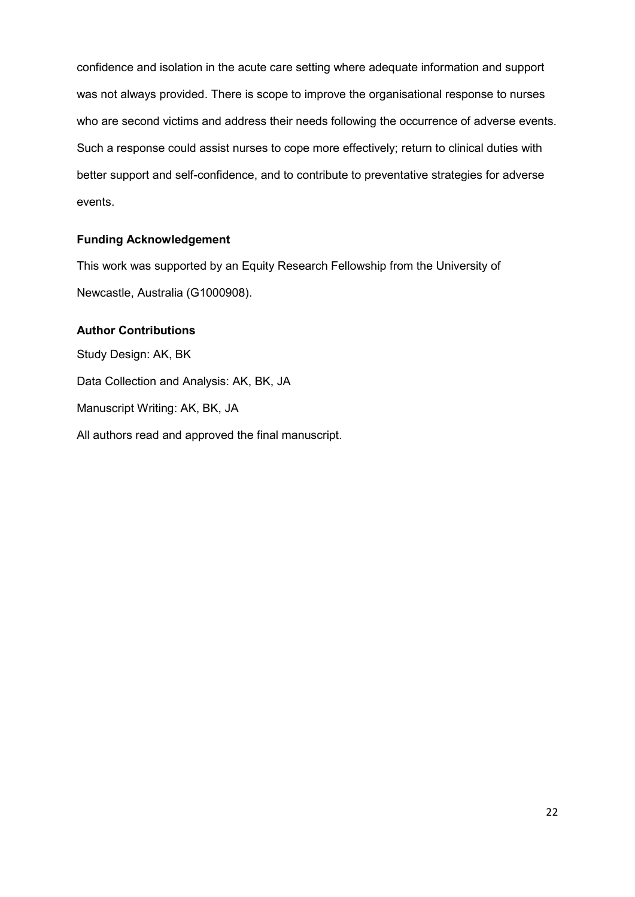confidence and isolation in the acute care setting where adequate information and support was not always provided. There is scope to improve the organisational response to nurses who are second victims and address their needs following the occurrence of adverse events. Such a response could assist nurses to cope more effectively; return to clinical duties with better support and self-confidence, and to contribute to preventative strategies for adverse events.

## **Funding Acknowledgement**

This work was supported by an Equity Research Fellowship from the University of Newcastle, Australia (G1000908).

## **Author Contributions**

Study Design: AK, BK Data Collection and Analysis: AK, BK, JA Manuscript Writing: AK, BK, JA All authors read and approved the final manuscript.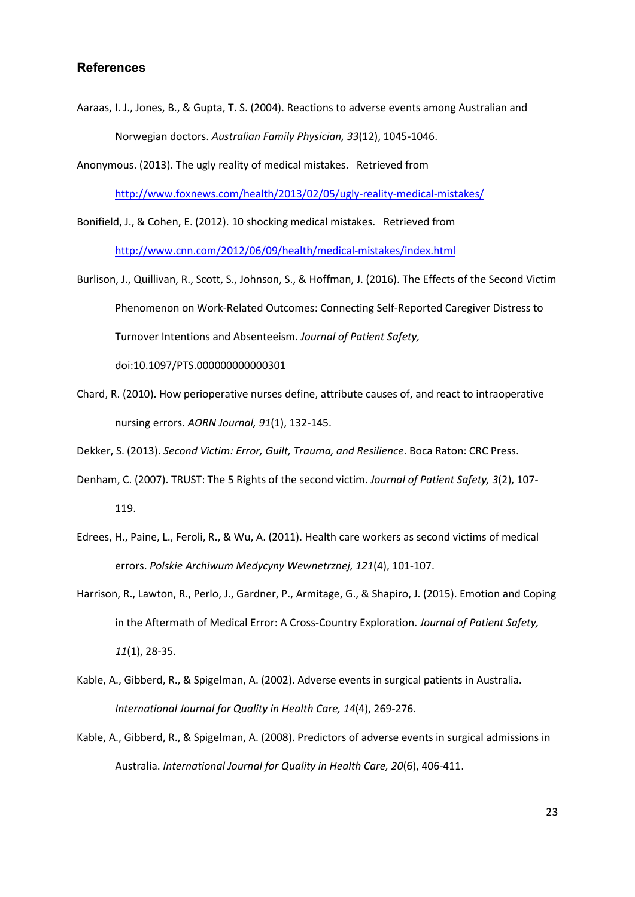## **References**

<span id="page-23-4"></span>Aaraas, I. J., Jones, B., & Gupta, T. S. (2004). Reactions to adverse events among Australian and Norwegian doctors. *Australian Family Physician, 33*(12), 1045-1046.

<span id="page-23-0"></span>Anonymous. (2013). The ugly reality of medical mistakes. Retrieved from

<http://www.foxnews.com/health/2013/02/05/ugly-reality-medical-mistakes/>

<span id="page-23-1"></span>Bonifield, J., & Cohen, E. (2012). 10 shocking medical mistakes. Retrieved from <http://www.cnn.com/2012/06/09/health/medical-mistakes/index.html>

<span id="page-23-9"></span>Burlison, J., Quillivan, R., Scott, S., Johnson, S., & Hoffman, J. (2016). The Effects of the Second Victim Phenomenon on Work-Related Outcomes: Connecting Self-Reported Caregiver Distress to Turnover Intentions and Absenteeism. *Journal of Patient Safety,* 

doi:10.1097/PTS.000000000000301

<span id="page-23-5"></span>Chard, R. (2010). How perioperative nurses define, attribute causes of, and react to intraoperative nursing errors. *AORN Journal, 91*(1), 132-145.

<span id="page-23-6"></span>Dekker, S. (2013). *Second Victim: Error, Guilt, Trauma, and Resilience*. Boca Raton: CRC Press.

- <span id="page-23-10"></span>Denham, C. (2007). TRUST: The 5 Rights of the second victim. *Journal of Patient Safety, 3*(2), 107- 119.
- <span id="page-23-8"></span>Edrees, H., Paine, L., Feroli, R., & Wu, A. (2011). Health care workers as second victims of medical errors. *Polskie Archiwum Medycyny Wewnetrznej, 121*(4), 101-107.
- <span id="page-23-7"></span>Harrison, R., Lawton, R., Perlo, J., Gardner, P., Armitage, G., & Shapiro, J. (2015). Emotion and Coping in the Aftermath of Medical Error: A Cross-Country Exploration. *Journal of Patient Safety, 11*(1), 28-35.
- <span id="page-23-2"></span>Kable, A., Gibberd, R., & Spigelman, A. (2002). Adverse events in surgical patients in Australia. *International Journal for Quality in Health Care, 14*(4), 269-276.
- <span id="page-23-3"></span>Kable, A., Gibberd, R., & Spigelman, A. (2008). Predictors of adverse events in surgical admissions in Australia. *International Journal for Quality in Health Care, 20*(6), 406-411.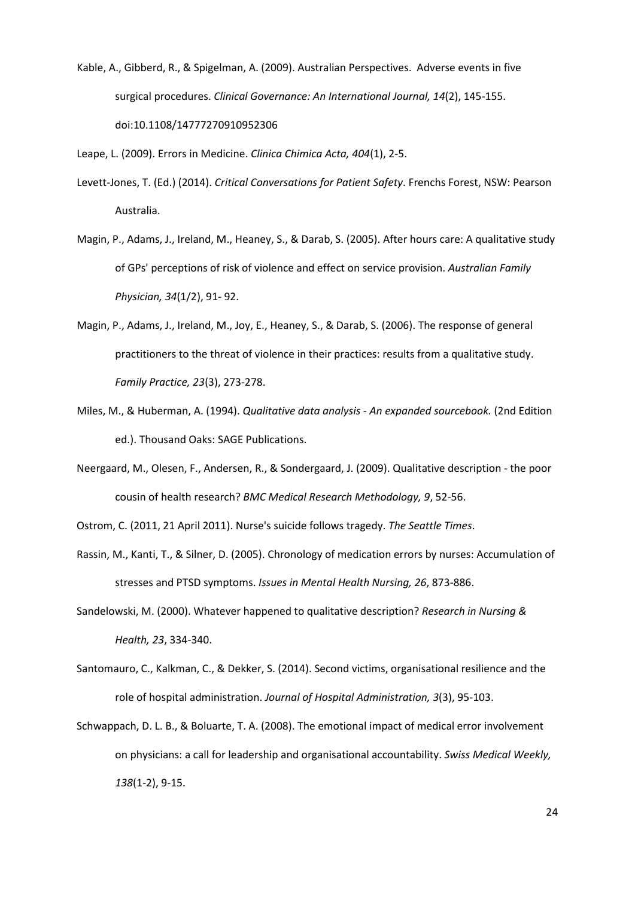<span id="page-24-1"></span>Kable, A., Gibberd, R., & Spigelman, A. (2009). Australian Perspectives. Adverse events in five surgical procedures. *Clinical Governance: An International Journal, 14*(2), 145-155. doi:10.1108/14777270910952306

<span id="page-24-0"></span>Leape, L. (2009). Errors in Medicine. *Clinica Chimica Acta, 404*(1), 2-5.

- <span id="page-24-9"></span>Levett-Jones, T. (Ed.) (2014). *Critical Conversations for Patient Safety*. Frenchs Forest, NSW: Pearson Australia.
- <span id="page-24-6"></span>Magin, P., Adams, J., Ireland, M., Heaney, S., & Darab, S. (2005). After hours care: A qualitative study of GPs' perceptions of risk of violence and effect on service provision. *Australian Family Physician, 34*(1/2), 91- 92.
- <span id="page-24-7"></span>Magin, P., Adams, J., Ireland, M., Joy, E., Heaney, S., & Darab, S. (2006). The response of general practitioners to the threat of violence in their practices: results from a qualitative study. *Family Practice, 23*(3), 273-278.
- <span id="page-24-5"></span>Miles, M., & Huberman, A. (1994). *Qualitative data analysis - An expanded sourcebook.* (2nd Edition ed.). Thousand Oaks: SAGE Publications.
- <span id="page-24-2"></span>Neergaard, M., Olesen, F., Andersen, R., & Sondergaard, J. (2009). Qualitative description - the poor cousin of health research? *BMC Medical Research Methodology, 9*, 52-56.
- <span id="page-24-10"></span>Ostrom, C. (2011, 21 April 2011). Nurse's suicide follows tragedy. *The Seattle Times*.
- <span id="page-24-4"></span>Rassin, M., Kanti, T., & Silner, D. (2005). Chronology of medication errors by nurses: Accumulation of stresses and PTSD symptoms. *Issues in Mental Health Nursing, 26*, 873-886.
- <span id="page-24-3"></span>Sandelowski, M. (2000). Whatever happened to qualitative description? *Research in Nursing & Health, 23*, 334-340.
- <span id="page-24-11"></span>Santomauro, C., Kalkman, C., & Dekker, S. (2014). Second victims, organisational resilience and the role of hospital administration. *Journal of Hospital Administration, 3*(3), 95-103.
- <span id="page-24-8"></span>Schwappach, D. L. B., & Boluarte, T. A. (2008). The emotional impact of medical error involvement on physicians: a call for leadership and organisational accountability. *Swiss Medical Weekly, 138*(1-2), 9-15.